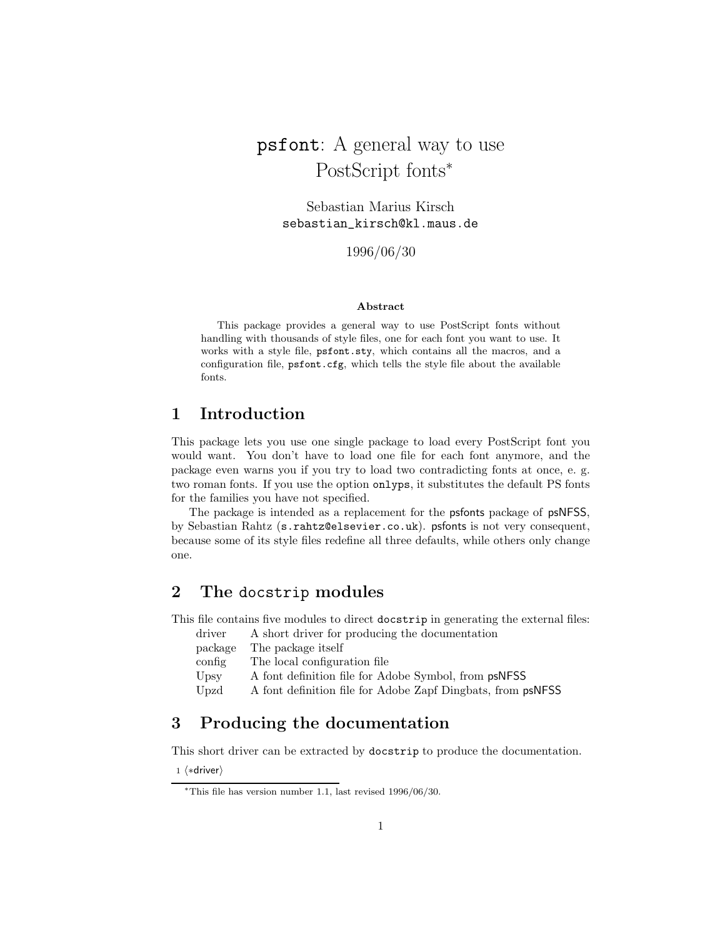# psfont: A general way to use PostScript fonts<sup>∗</sup>

Sebastian Marius Kirsch sebastian\_kirsch@kl.maus.de

1996/06/30

#### **Abstract**

This package provides a general way to use PostScript fonts without handling with thousands of style files, one for each font you want to use. It works with a style file, psfont.sty, which contains all the macros, and a configuration file, psfont.cfg, which tells the style file about the available fonts.

## **1 Introduction**

This package lets you use one single package to load every PostScript font you would want. You don't have to load one file for each font anymore, and the package even warns you if you try to load two contradicting fonts at once, e. g. two roman fonts. If you use the option onlyps, it substitutes the default PS fonts for the families you have not specified.

The package is intended as a replacement for the psfonts package of psNFSS, by Sebastian Rahtz (s.rahtz@elsevier.co.uk). psfonts is not very consequent, because some of its style files redefine all three defaults, while others only change one.

## **2 The** docstrip **modules**

This file contains five modules to direct docstrip in generating the external files:

driver A short driver for producing the documentation

| package | The package itself                                          |
|---------|-------------------------------------------------------------|
| config  | The local configuration file                                |
| Upsy    | A font definition file for Adobe Symbol, from psNFSS        |
| Upzd    | A font definition file for Adobe Zapf Dingbats, from psNFSS |
|         |                                                             |

## **3 Producing the documentation**

This short driver can be extracted by docstrip to produce the documentation.

1  $\langle *divier \rangle$ 

<sup>∗</sup>This file has version number 1.1, last revised 1996/06/30.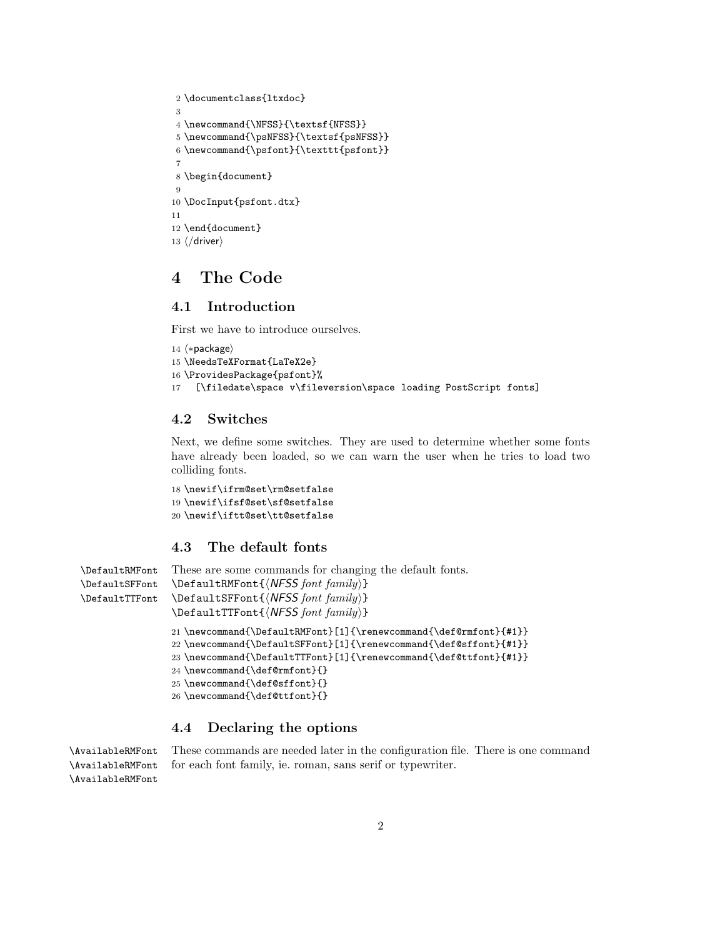```
2 \documentclass{ltxdoc}
3
4 \newcommand{\NFSS}{\textsf{NFSS}}
5 \newcommand{\psNFSS}{\textsf{psNFSS}}
6 \newcommand{\psfont}{\texttt{psfont}}
 7
8 \begin{document}
9
10 \DocInput{psfont.dtx}
11
12 \end{document}
13 \langle/driver\rangle
```
## **4 The Code**

## **4.1 Introduction**

First we have to introduce ourselves.

```
14 \langle * \text{package} \rangle15 \NeedsTeXFormat{LaTeX2e}
16 \ProvidesPackage{psfont}%
17 [\filedate\space v\fileversion\space loading PostScript fonts]
```
#### **4.2 Switches**

Next, we define some switches. They are used to determine whether some fonts have already been loaded, so we can warn the user when he tries to load two colliding fonts.

```
18 \newif\ifrm@set\rm@setfalse
19 \newif\ifsf@set\sf@setfalse
20 \newif\iftt@set\tt@setfalse
```
### **4.3 The default fonts**

```
\DefaultRMFont These are some commands for changing the default fonts.
\DefaultSFFont
\DefaultTTFont
                \DefaultRMFont{NFSS font family}
                \DefaultSFFont{NFSS font family}
                \DefaultTTFont{NFSS font family}
                21 \newcommand{\DefaultRMFont}[1]{\renewcommand{\def@rmfont}{#1}}
                22 \newcommand{\DefaultSFFont}[1]{\renewcommand{\def@sffont}{#1}}
                23 \newcommand{\DefaultTTFont}[1]{\renewcommand{\def@ttfont}{#1}}
                24 \newcommand{\def@rmfont}{}
                25 \newcommand{\def@sffont}{}
                26 \newcommand{\def@ttfont}{}
```
## **4.4 Declaring the options**

\AvailableRMFont \AvailableRMFont

\AvailableRMFont These commands are needed later in the configuration file. There is one command for each font family, ie. roman, sans serif or typewriter.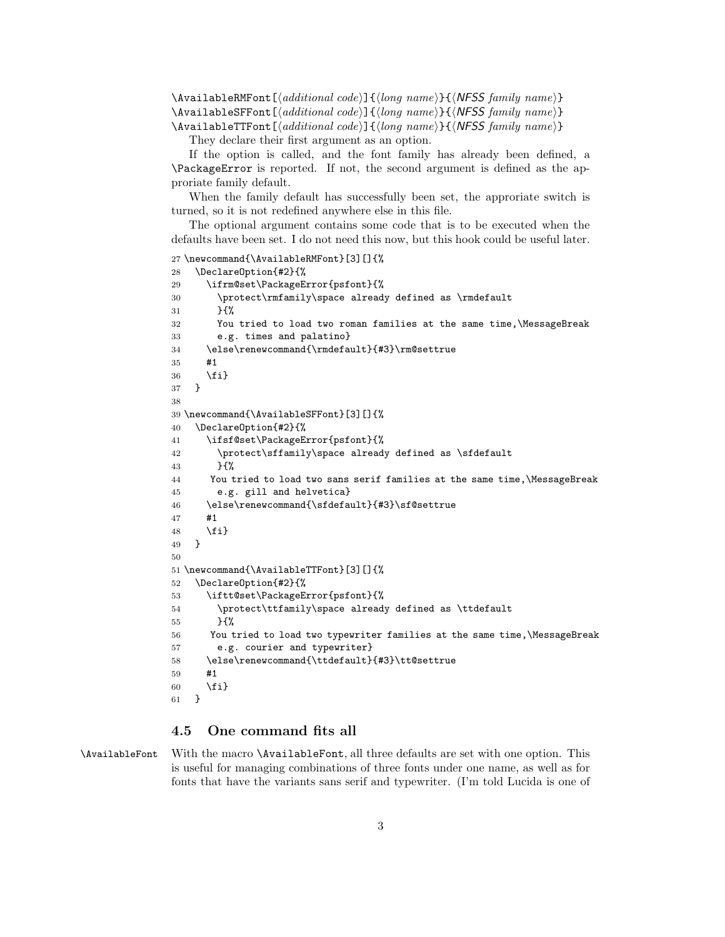\AvailableRMFont[*additional code*]{*long name*}{*NFSS family name*} \AvailableSFFont[*additional code*]{*long name*}{*NFSS family name*} \AvailableTTFont[*additional code*]{*long name*}{*NFSS family name*}

They declare their first argument as an option.

If the option is called, and the font family has already been defined, a \PackageError is reported. If not, the second argument is defined as the approriate family default.

When the family default has successfully been set, the approriate switch is turned, so it is not redefined anywhere else in this file.

The optional argument contains some code that is to be executed when the defaults have been set. I do not need this now, but this hook could be useful later.

```
27 \newcommand{\AvailableRMFont}[3][]{%
28 \DeclareOption{#2}{%
29 \ifrm@set\PackageError{psfont}{%
30 \protect\rmfamily\space already defined as \rmdefault
31 }{%
32 You tried to load two roman families at the same time,\MessageBreak
33 e.g. times and palatino}
34 \else\renewcommand{\rmdefault}{#3}\rm@settrue
35 #1
36 \fi}
37 }
38
39 \newcommand{\AvailableSFFont}[3][]{%
40 \DeclareOption{#2}{%
41 \ifsf@set\PackageError{psfont}{%
42 \protect\sffamily\space already defined as \sfdefault
43 }{%
44 You tried to load two sans serif families at the same time,\MessageBreak
45 e.g. gill and helvetica}
46 \else\renewcommand{\sfdefault}{#3}\sf@settrue
47 #1
48 \fi}
49 }
50
51 \newcommand{\AvailableTTFont}[3][]{%
52 \DeclareOption{#2}{%
53 \iftt@set\PackageError{psfont}{%
54 \protect\ttfamily\space already defined as \ttdefault
55 }{%
56 You tried to load two typewriter families at the same time,\MessageBreak
57 e.g. courier and typewriter}
58 \else\renewcommand{\ttdefault}{#3}\tt@settrue
59 #1
60 \{f_i\}61 }
```
### **4.5 One command fits all**

\AvailableFont With the macro \AvailableFont, all three defaults are set with one option. This is useful for managing combinations of three fonts under one name, as well as for fonts that have the variants sans serif and typewriter. (I'm told Lucida is one of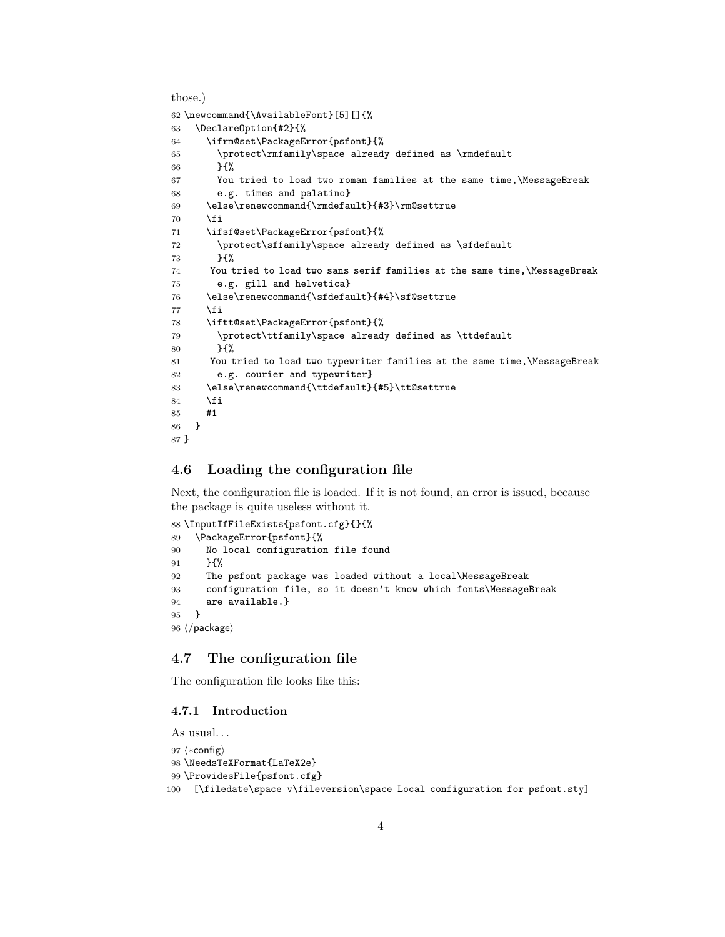those.)

```
62 \newcommand{\AvailableFont}[5][]{%
63 \DeclareOption{#2}{%
64 \ifrm@set\PackageError{psfont}{%
65 \protect\rmfamily\space already defined as \rmdefault
66 }{%
67 You tried to load two roman families at the same time,\MessageBreak
68 e.g. times and palatino}
69 \else\renewcommand{\rmdefault}{#3}\rm@settrue
70 \fi
71 \ifsf@set\PackageError{psfont}{%
72 \protect\sffamily\space already defined as \sfdefault
73 }{%
74 You tried to load two sans serif families at the same time,\MessageBreak
75 e.g. gill and helvetica}
76 \else\renewcommand{\sfdefault}{#4}\sf@settrue
77 \fi
78 \iftt@set\PackageError{psfont}{%
79 \protect\ttfamily\space already defined as \ttdefault
80 }{%
81 You tried to load two typewriter families at the same time, \MessageBreak
82 e.g. courier and typewriter}
83 \else\renewcommand{\ttdefault}{#5}\tt@settrue
84 \fi
85 #1
86 }
87 }
```
#### **4.6 Loading the configuration file**

Next, the configuration file is loaded. If it is not found, an error is issued, because the package is quite useless without it.

```
88 \InputIfFileExists{psfont.cfg}{}{%
89 \PackageError{psfont}{%
90 No local configuration file found
91 }\{%
92 The psfont package was loaded without a local\MessageBreak
93 configuration file, so it doesn't know which fonts\MessageBreak
94 are available.}
95 }
96 \langle/package\rangle
```
## **4.7 The configuration file**

The configuration file looks like this:

#### **4.7.1 Introduction**

As usual. . .

```
97 \langle *config \rangle98 \NeedsTeXFormat{LaTeX2e}
99 \ProvidesFile{psfont.cfg}
100 [\filedate\space v\fileversion\space Local configuration for psfont.sty]
```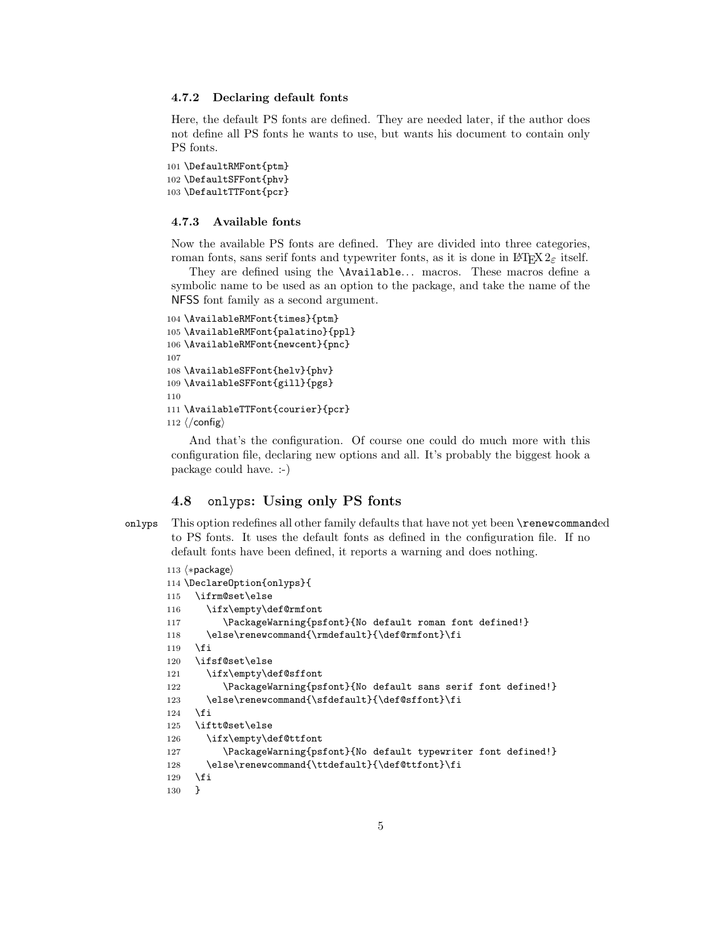#### **4.7.2 Declaring default fonts**

Here, the default PS fonts are defined. They are needed later, if the author does not define all PS fonts he wants to use, but wants his document to contain only PS fonts.

```
101 \DefaultRMFont{ptm}
102 \DefaultSFFont{phv}
103 \DefaultTTFont{pcr}
```
#### **4.7.3 Available fonts**

Now the available PS fonts are defined. They are divided into three categories, roman fonts, sans serif fonts and typewriter fonts, as it is done in LATEX  $2\varepsilon$  itself.

They are defined using the **\Available...** macros. These macros define a symbolic name to be used as an option to the package, and take the name of the NFSS font family as a second argument.

```
104 \AvailableRMFont{times}{ptm}
105 \AvailableRMFont{palatino}{ppl}
106 \AvailableRMFont{newcent}{pnc}
107
108 \AvailableSFFont{helv}{phv}
109 \AvailableSFFont{gill}{pgs}
110
111 \AvailableTTFont{courier}{pcr}
112 \langle/config\rangle
```
And that's the configuration. Of course one could do much more with this configuration file, declaring new options and all. It's probably the biggest hook a package could have. :-)

### **4.8** onlyps**: Using only PS fonts**

onlyps This option redefines all other family defaults that have not yet been \renewcommanded to PS fonts. It uses the default fonts as defined in the configuration file. If no default fonts have been defined, it reports a warning and does nothing.

```
113 \; \langle * \textsf{package} \rangle114 \DeclareOption{onlyps}{
115 \ifrm@set\else
116 \ifx\empty\def@rmfont
117 \PackageWarning{psfont}{No default roman font defined!}
118 \else\renewcommand{\rmdefault}{\def@rmfont}\fi
119 \fi
120 \ifsf@set\else
121 \ifx\empty\def@sffont
122 \PackageWarning{psfont}{No default sans serif font defined!}
123 \else\renewcommand{\sfdefault}{\def@sffont}\fi
124 \fi
125 \iftt@set\else
126 \ifx\empty\def@ttfont
127 \PackageWarning{psfont}{No default typewriter font defined!}
128 \else\renewcommand{\ttdefault}{\def@ttfont}\fi
129 \overrightarrow{fi}130 }
```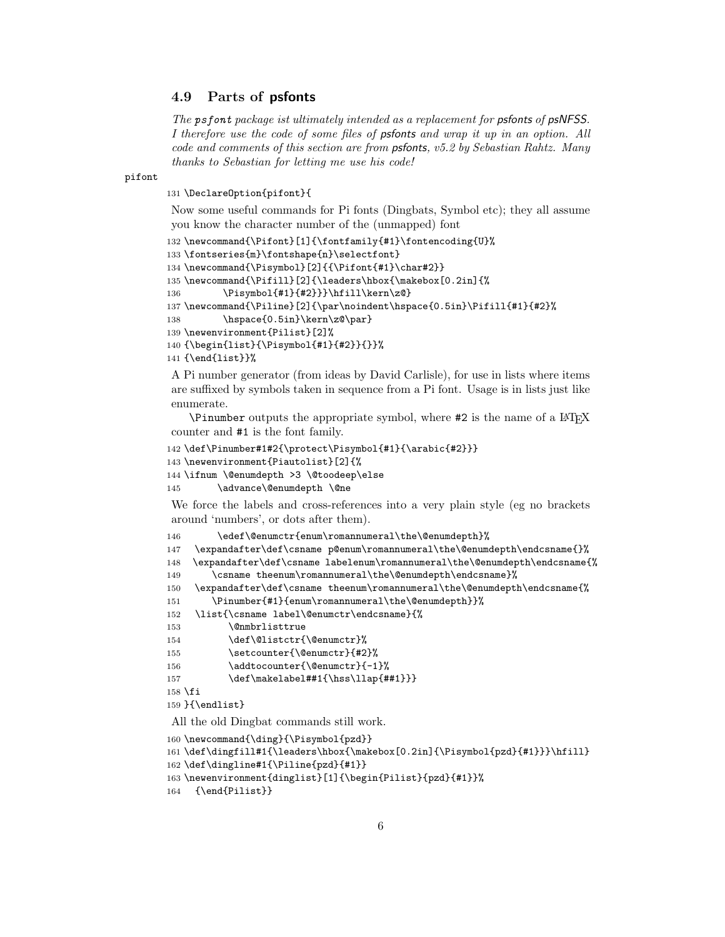### **4.9 Parts of psfonts**

*The psfont package ist ultimately intended as a replacement for psfonts of psNFSS. I therefore use the code of some files of psfonts and wrap it up in an option. All code and comments of this section are from psfonts, v5.2 by Sebastian Rahtz. Many thanks to Sebastian for letting me use his code!*

pifont

131 \DeclareOption{pifont}{

Now some useful commands for Pi fonts (Dingbats, Symbol etc); they all assume you know the character number of the (unmapped) font

```
132 \newcommand{\Pifont}[1]{\fontfamily{#1}\fontencoding{U}%
133\fontseries{m}\fontshape{n}\selectfont}
134 \newcommand{\Pisymbol}[2]{{\Pifont{#1}\char#2}}
135 \newcommand{\Pifill}[2]{\leaders\hbox{\makebox[0.2in]{%
136 \Pisymbol{#1}{#2}}}\hfill\kern\z@}
137 \newcommand{\Piline}[2]{\par\noindent\hspace{0.5in}\Pifill{#1}{#2}%
138 \hspace{0.5in}\kern\z@\par}
139 \newenvironment{Pilist}[2]%
140 {\begin{list}{\Pisymbol{#1}{#2}}{}}%
141 {\end{list}}%
```
A Pi number generator (from ideas by David Carlisle), for use in lists where items are suffixed by symbols taken in sequence from a Pi font. Usage is in lists just like enumerate.

 $\Delta$  Pinumber outputs the appropriate symbol, where #2 is the name of a LATEX counter and #1 is the font family.

```
142 \def\Pinumber#1#2{\protect\Pisymbol{#1}{\arabic{#2}}}
```

```
143 \newenvironment{Piautolist}[2]{%
```

```
144 \ifnum \@enumdepth >3 \@toodeep\else
```

```
145 \advance\@enumdepth \@ne
```
We force the labels and cross-references into a very plain style (eg no brackets around 'numbers', or dots after them).

```
146 \edef\@enumctr{enum\romannumeral\the\@enumdepth}%
```
147 \expandafter\def\csname p@enum\romannumeral\the\@enumdepth\endcsname{}%

148 \expandafter\def\csname labelenum\romannumeral\the\@enumdepth\endcsname{%

```
149 \csname theenum\romannumeral\the\@enumdepth\endcsname}%
```

```
150 \expandafter\def\csname theenum\romannumeral\the\@enumdepth\endcsname{%
```
- 151 \Pinumber{#1}{enum\romannumeral\the\@enumdepth}}%
- 152 \list{\csname label\@enumctr\endcsname}{%

```
153 \@nmbrlisttrue
```

```
154 \def\@listctr{\@enumctr}%
```

```
155 \setcounter{\@enumctr}{#2}%
```

```
156 \addtocounter{\@enumctr}{-1}%
```

```
157 \def\makelabel##1{\hss\llap{##1}}}
```
158 \fi

159 }{\endlist}

All the old Dingbat commands still work.

```
160 \newcommand{\ding}{\Pisymbol{pzd}}
161 \def\dingfill#1{\leaders\hbox{\makebox[0.2in]{\Pisymbol{pzd}{#1}}}\hfill}
162 \def\dingline#1{\Piline{pzd}{#1}}
163 \newenvironment{dinglist}[1]{\begin{Pilist}{pzd}{#1}}%
164 {\end{Pilist}}
```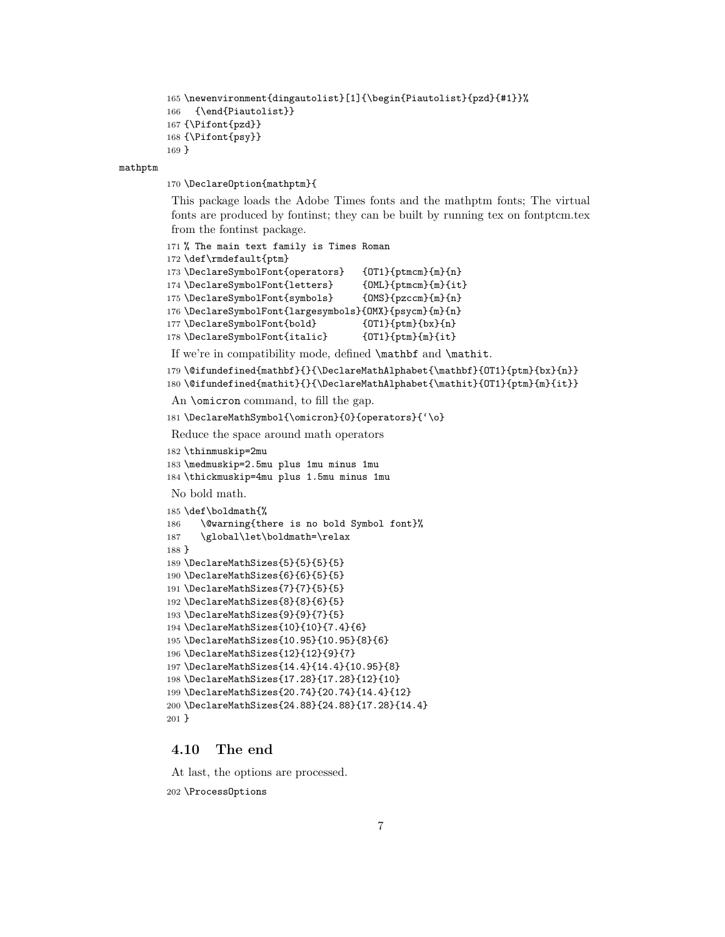```
165 \newenvironment{dingautolist}[1]{\begin{Piautolist}{pzd}{#1}}%
166 {\end{Piautolist}}
167 {\Pifont{pzd}}
168 {\Pifont{psy}}
169 }
```
#### mathptm

\DeclareOption{mathptm}{

This package loads the Adobe Times fonts and the mathptm fonts; The virtual fonts are produced by fontinst; they can be built by running tex on fontptcm.tex from the fontinst package.

```
171 % The main text family is Times Roman
172 \def\rmdefault{ptm}
173 \DeclareSymbolFont{operators} {OT1}{ptmcm}{m}{n}
174 \DeclareSymbolFont{letters} {OML}{ptmcm}{m}{it}
175 \DeclareSymbolFont{symbols} {OMS}{pzccm}{m}{n}
176 \DeclareSymbolFont{largesymbols}{OMX}{psycm}{m}{n}
177 \DeclareSymbolFont{bold} {0T1}{ptm}{bx}{n}
178 \DeclareSymbolFont{italic} {0T1}{ptm}{m}{it}
```
If we're in compatibility mode, defined \mathbf and \mathit.

```
179 \@ifundefined{mathbf}{}{\DeclareMathAlphabet{\mathbf}{OT1}{ptm}{bx}{n}}
180 \@ifundefined{mathit}{}{\DeclareMathAlphabet{\mathit}{OT1}{ptm}{m}{it}}
```
An \omicron command, to fill the gap.

\DeclareMathSymbol{\omicron}{0}{operators}{'\o}

Reduce the space around math operators

```
182 \thinmuskip=2mu
```
 \medmuskip=2.5mu plus 1mu minus 1mu \thickmuskip=4mu plus 1.5mu minus 1mu

No bold math.

```
185 \def\boldmath{%
186 \@warning{there is no bold Symbol font}%
187 \global\let\boldmath=\relax
188 }
189 \DeclareMathSizes{5}{5}{5}{5}
190 \DeclareMathSizes{6}{6}{5}{5}
191 \DeclareMathSizes{7}{7}{5}{5}
192 \DeclareMathSizes{8}{8}{6}{5}
193 \DeclareMathSizes{9}{9}{7}{5}
194 \DeclareMathSizes{10}{10}{7.4}{6}
195 \DeclareMathSizes{10.95}{10.95}{8}{6}
196 \DeclareMathSizes{12}{12}{9}{7}
197 \DeclareMathSizes{14.4}{14.4}{10.95}{8}
198 \DeclareMathSizes{17.28}{17.28}{12}{10}
199 \DeclareMathSizes{20.74}{20.74}{14.4}{12}
200 \DeclareMathSizes{24.88}{24.88}{17.28}{14.4}
201 }
```
### **4.10 The end**

At last, the options are processed.

\ProcessOptions